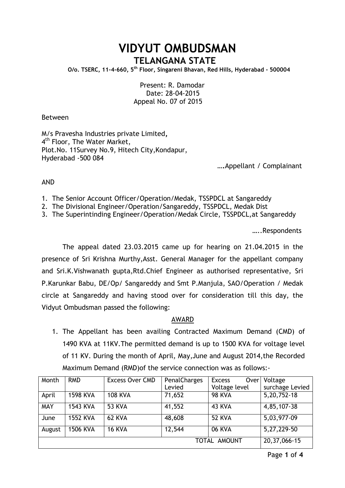# **VIDYUT OMBUDSMAN TELANGANA STATE**

 **O/o. TSERC, 11-4-660, 5th Floor, Singareni Bhavan, Red Hills, Hyderabad - 500004**

Present: R. Damodar Date: 28-04-2015 Appeal No. 07 of 2015

### Between

M/s Pravesha Industries private Limited**,** 4<sup>th</sup> Floor, The Water Market, Plot.No. 11Survey No.9, Hitech City,Kondapur, Hyderabad -500 084

 **….**Appellant / Complainant

## AND

1. The Senior Account Officer/Operation/Medak, TSSPDCL at Sangareddy

- 2. The Divisional Engineer/Operation/Sangareddy, TSSPDCL, Medak Dist
- 3. The Superintinding Engineer/Operation/Medak Circle, TSSPDCL,at Sangareddy

…..Respondents

The appeal dated 23.03.2015 came up for hearing on 21.04.2015 in the presence of Sri Krishna Murthy,Asst. General Manager for the appellant company and Sri.K.Vishwanath gupta,Rtd.Chief Engineer as authorised representative, Sri P.Karunkar Babu, DE/Op/ Sangareddy and Smt P.Manjula, SAO/Operation / Medak circle at Sangareddy and having stood over for consideration till this day, the Vidyut Ombudsman passed the following:

## AWARD

1. The Appellant has been availing Contracted Maximum Demand (CMD) of 1490 KVA at 11KV.The permitted demand is up to 1500 KVA for voltage level of 11 KV. During the month of April, May,June and August 2014,the Recorded Maximum Demand (RMD)of the service connection was as follows:-

| Month      | <b>RMD</b>      | <b>Excess Over CMD</b> | PenalCharges | <b>Excess</b><br>Over | Voltage         |
|------------|-----------------|------------------------|--------------|-----------------------|-----------------|
|            |                 |                        | Levied       | Voltage level         | surchage Levied |
| April      | <b>1598 KVA</b> | <b>108 KVA</b>         | 71,652       | <b>98 KVA</b>         | 5,20,752-18     |
| <b>MAY</b> | 1543 KVA        | <b>53 KVA</b>          | 41,552       | 43 KVA                | 4,85,107-38     |
| June       | <b>1552 KVA</b> | 62 KVA                 | 48,608       | <b>52 KVA</b>         | 5,03,977-09     |
| August     | <b>1506 KVA</b> | <b>16 KVA</b>          | 12,544       | <b>06 KVA</b>         | 5,27,229-50     |
|            | 20, 37, 066-15  |                        |              |                       |                 |

Page **1** of **4**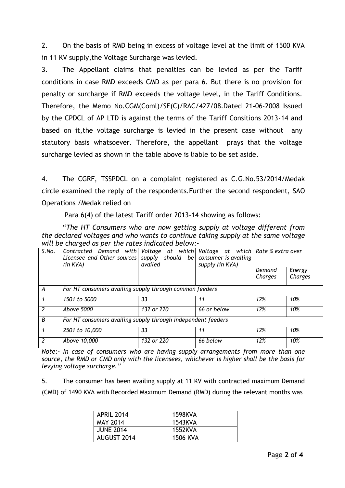2. On the basis of RMD being in excess of voltage level at the limit of 1500 KVA in 11 KV supply,the Voltage Surcharge was levied.

3. The Appellant claims that penalties can be levied as per the Tariff conditions in case RMD exceeds CMD as per para 6. But there is no provision for penalty or surcharge if RMD exceeds the voltage level, in the Tariff Conditions. Therefore, the Memo No.CGM(Coml)/SE(C)/RAC/427/08.Dated 21**-**06-2008 Issued by the CPDCL of AP LTD is against the terms of the Tariff Consitions 2013-14 and based on it,the voltage surcharge is levied in the present case without any statutory basis whatsoever. Therefore, the appellant prays that the voltage surcharge levied as shown in the table above is liable to be set aside.

4. The CGRF, TSSPDCL on a complaint registered as C.G.No.53/2014/Medak circle examined the reply of the respondents.Further the second respondent, SAO Operations /Medak relied on

Para 6(4) of the latest Tariff order 2013-14 showing as follows:

"*The HT Consumers who are now getting supply at voltage different from the declared voltages and who wants to continue taking supply at the same voltage will be charged as per the rates indicated below:-*

| S.No.          | Contracted Demand with<br>Licensee and Other sources<br>$(in$ $KVA)$ | availed    | Voltage at which Voltage at which Rate % extra over<br>supply should be consumer is availing<br>supply (in KVA) |                   |                   |  |
|----------------|----------------------------------------------------------------------|------------|-----------------------------------------------------------------------------------------------------------------|-------------------|-------------------|--|
|                |                                                                      |            |                                                                                                                 | Demand<br>Charges | Energy<br>Charges |  |
| A              | For HT consumers availing supply through common feeders              |            |                                                                                                                 |                   |                   |  |
| $\mathbf{1}$   | 1501 to 5000                                                         | 33         | 11                                                                                                              | 12%               | 10%               |  |
| 2              | Above 5000                                                           | 132 or 220 | 66 or below                                                                                                     | 12%               | 10%               |  |
| $\overline{B}$ | For HT consumers availing supply through independent feeders         |            |                                                                                                                 |                   |                   |  |
|                | 2501 to 10,000                                                       | 33         | 11                                                                                                              | 12%               | 10%               |  |
| 2              | Above 10,000                                                         | 132 or 220 | 66 below                                                                                                        | 12%               | 10%               |  |

*Note:- In case of consumers who are having supply arrangements from more than one source, the RMD or CMD only with the licensees, whichever is higher shall be the basis for levying voltage surcharge."*

5. The consumer has been availing supply at 11 KV with contracted maximum Demand (CMD) of 1490 KVA with Recorded Maximum Demand (RMD) during the relevant months was

| <b>APRIL 2014</b>  | 1598KVA  |
|--------------------|----------|
| <b>MAY 2014</b>    | 1543KVA  |
| <b>JUNE 2014</b>   | 1552KVA  |
| <b>AUGUST 2014</b> | 1506 KVA |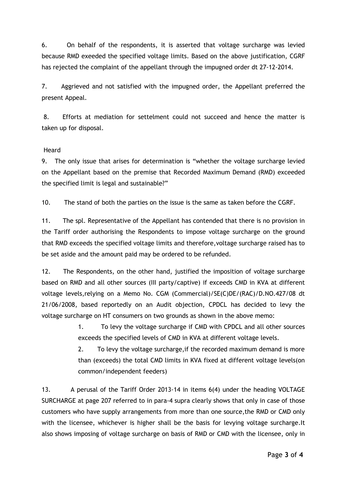6. On behalf of the respondents, it is asserted that voltage surcharge was levied because RMD exeeded the specified voltage limits. Based on the above justification, CGRF has rejected the complaint of the appellant through the impugned order dt 27-12-2014.

7. Aggrieved and not satisfied with the impugned order, the Appellant preferred the present Appeal.

8. Efforts at mediation for settelment could not succeed and hence the matter is taken up for disposal.

## Heard

9. The only issue that arises for determination is "whether the voltage surcharge levied on the Appellant based on the premise that Recorded Maximum Demand (RMD) exceeded the specified limit is legal and sustainable?"

10. The stand of both the parties on the issue is the same as taken before the CGRF.

11. The spl. Representative of the Appellant has contended that there is no provision in the Tariff order authorising the Respondents to impose voltage surcharge on the ground that RMD exceeds the specified voltage limits and therefore,voltage surcharge raised has to be set aside and the amount paid may be ordered to be refunded.

12. The Respondents, on the other hand, justified the imposition of voltage surcharge based on RMD and all other sources (III party/captive) if exceeds CMD in KVA at different voltage levels,relying on a Memo No. CGM (Commercial)/SE(C)DE/(RAC)/D.NO.427/08 dt 21/06/2008, based reportedly on an Audit objection, CPDCL has decided to levy the voltage surcharge on HT consumers on two grounds as shown in the above memo:

> 1. To levy the voltage surcharge if CMD with CPDCL and all other sources exceeds the specified levels of CMD in KVA at different voltage levels.

> 2. To levy the voltage surcharge,if the recorded maximum demand is more than (exceeds) the total CMD limits in KVA fixed at different voltage levels(on common/independent feeders)

13. A perusal of the Tariff Order 2013-14 in items 6(4) under the heading VOLTAGE SURCHARGE at page 207 referred to in para-4 supra clearly shows that only in case of those customers who have supply arrangements from more than one source,the RMD or CMD only with the licensee, whichever is higher shall be the basis for levying voltage surcharge.It also shows imposing of voltage surcharge on basis of RMD or CMD with the licensee, only in